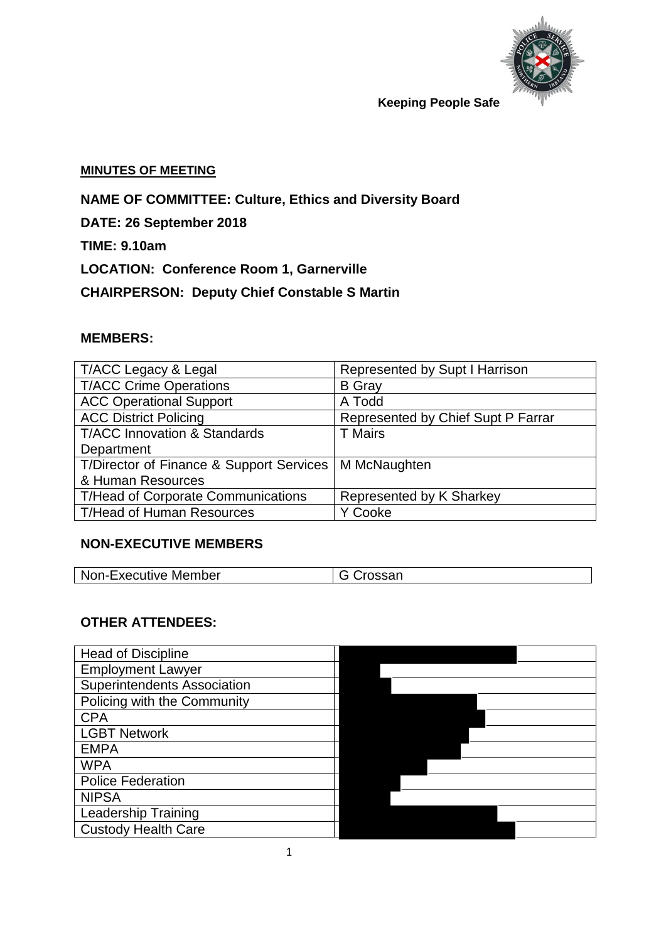

#### **MINUTES OF MEETING**

**NAME OF COMMITTEE: Culture, Ethics and Diversity Board**

**DATE: 26 September 2018** 

**TIME: 9.10am**

**LOCATION: Conference Room 1, Garnerville**

**CHAIRPERSON: Deputy Chief Constable S Martin**

# **MEMBERS:**

| T/ACC Legacy & Legal                      | Represented by Supt I Harrison     |
|-------------------------------------------|------------------------------------|
| <b>T/ACC Crime Operations</b>             | <b>B</b> Gray                      |
| <b>ACC Operational Support</b>            | A Todd                             |
| <b>ACC District Policing</b>              | Represented by Chief Supt P Farrar |
| <b>T/ACC Innovation &amp; Standards</b>   | <b>T</b> Mairs                     |
| Department                                |                                    |
| T/Director of Finance & Support Services  | M McNaughten                       |
| & Human Resources                         |                                    |
| <b>T/Head of Corporate Communications</b> | Represented by K Sharkey           |
| <b>T/Head of Human Resources</b>          | Y Cooke                            |

# **NON-EXECUTIVE MEMBERS**

| <b>Non-Executive Member</b> | G Crossan |  |
|-----------------------------|-----------|--|
|-----------------------------|-----------|--|

## **OTHER ATTENDEES:**

| <b>Head of Discipline</b>          |  |
|------------------------------------|--|
| <b>Employment Lawyer</b>           |  |
| <b>Superintendents Association</b> |  |
| Policing with the Community        |  |
| <b>CPA</b>                         |  |
| <b>LGBT Network</b>                |  |
| <b>EMPA</b>                        |  |
| <b>WPA</b>                         |  |
| <b>Police Federation</b>           |  |
| <b>NIPSA</b>                       |  |
| <b>Leadership Training</b>         |  |
| <b>Custody Health Care</b>         |  |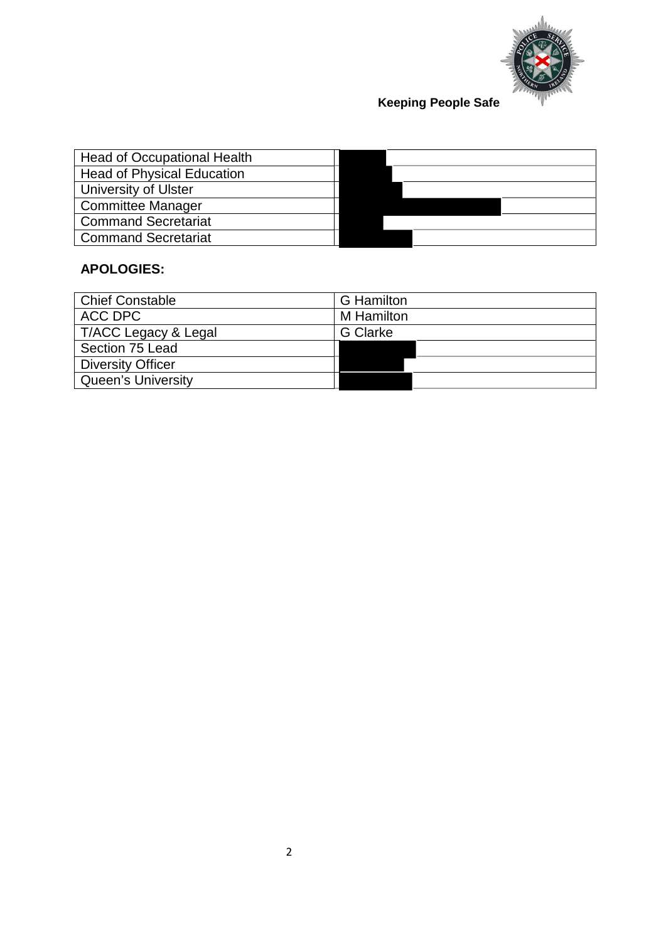

| <b>Head of Occupational Health</b> |  |  |
|------------------------------------|--|--|
| <b>Head of Physical Education</b>  |  |  |
| University of Ulster               |  |  |
| <b>Committee Manager</b>           |  |  |
| <b>Command Secretariat</b>         |  |  |
| <b>Command Secretariat</b>         |  |  |

# **APOLOGIES:**

| Chief Constable          | <b>G</b> Hamilton |
|--------------------------|-------------------|
| ACC DPC                  | M Hamilton        |
| T/ACC Legacy & Legal     | <b>G</b> Clarke   |
| Section 75 Lead          |                   |
| <b>Diversity Officer</b> |                   |
| Queen's University       |                   |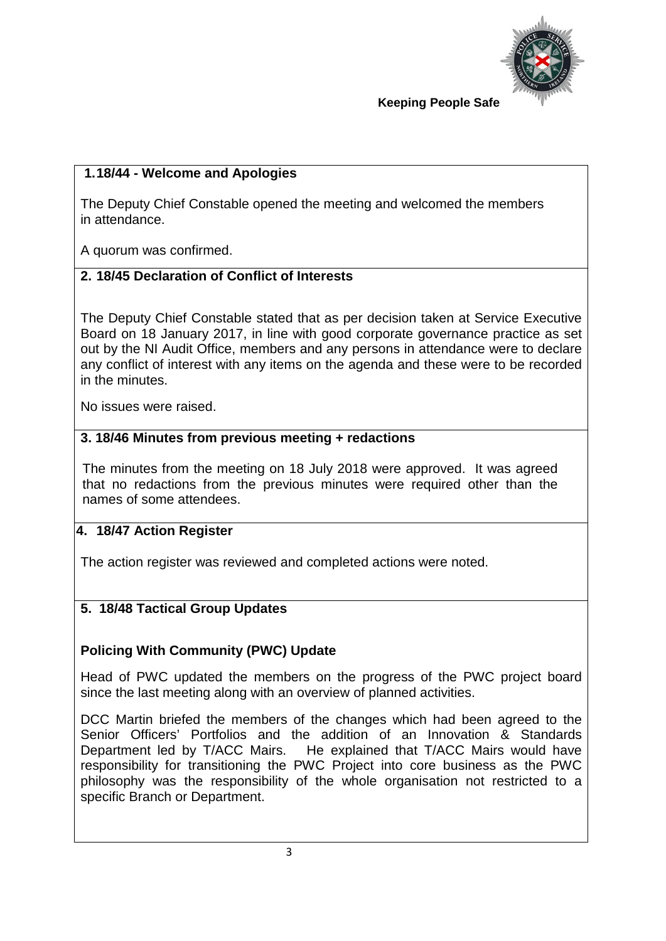

# **1.18/44 - Welcome and Apologies**

The Deputy Chief Constable opened the meeting and welcomed the members in attendance.

A quorum was confirmed.

## **2. 18/45 Declaration of Conflict of Interests**

The Deputy Chief Constable stated that as per decision taken at Service Executive Board on 18 January 2017, in line with good corporate governance practice as set out by the NI Audit Office, members and any persons in attendance were to declare any conflict of interest with any items on the agenda and these were to be recorded in the minutes.

No issues were raised.

#### **3. 18/46 Minutes from previous meeting + redactions**

The minutes from the meeting on 18 July 2018 were approved. It was agreed that no redactions from the previous minutes were required other than the names of some attendees.

#### **4. 18/47 Action Register**

The action register was reviewed and completed actions were noted.

#### **5. 18/48 Tactical Group Updates**

#### **Policing With Community (PWC) Update**

Head of PWC updated the members on the progress of the PWC project board since the last meeting along with an overview of planned activities.

DCC Martin briefed the members of the changes which had been agreed to the Senior Officers' Portfolios and the addition of an Innovation & Standards Department led by T/ACC Mairs. He explained that T/ACC Mairs would have responsibility for transitioning the PWC Project into core business as the PWC philosophy was the responsibility of the whole organisation not restricted to a specific Branch or Department.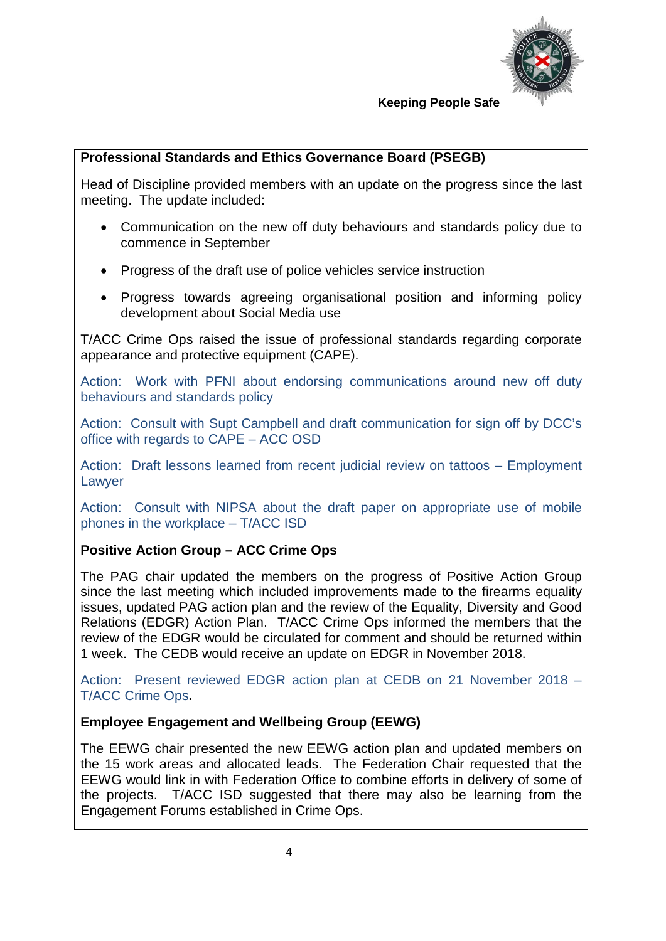

## **Professional Standards and Ethics Governance Board (PSEGB)**

Head of Discipline provided members with an update on the progress since the last meeting. The update included:

- Communication on the new off duty behaviours and standards policy due to commence in September
- Progress of the draft use of police vehicles service instruction
- Progress towards agreeing organisational position and informing policy development about Social Media use

T/ACC Crime Ops raised the issue of professional standards regarding corporate appearance and protective equipment (CAPE).

Action: Work with PFNI about endorsing communications around new off duty behaviours and standards policy

Action: Consult with Supt Campbell and draft communication for sign off by DCC's office with regards to CAPE – ACC OSD

Action: Draft lessons learned from recent judicial review on tattoos – Employment Lawyer

Action: Consult with NIPSA about the draft paper on appropriate use of mobile phones in the workplace – T/ACC ISD

# **Positive Action Group – ACC Crime Ops**

The PAG chair updated the members on the progress of Positive Action Group since the last meeting which included improvements made to the firearms equality issues, updated PAG action plan and the review of the Equality, Diversity and Good Relations (EDGR) Action Plan. T/ACC Crime Ops informed the members that the review of the EDGR would be circulated for comment and should be returned within 1 week. The CEDB would receive an update on EDGR in November 2018.

Action: Present reviewed EDGR action plan at CEDB on 21 November 2018 – T/ACC Crime Ops**.**

#### **Employee Engagement and Wellbeing Group (EEWG)**

The EEWG chair presented the new EEWG action plan and updated members on the 15 work areas and allocated leads. The Federation Chair requested that the EEWG would link in with Federation Office to combine efforts in delivery of some of the projects. T/ACC ISD suggested that there may also be learning from the Engagement Forums established in Crime Ops.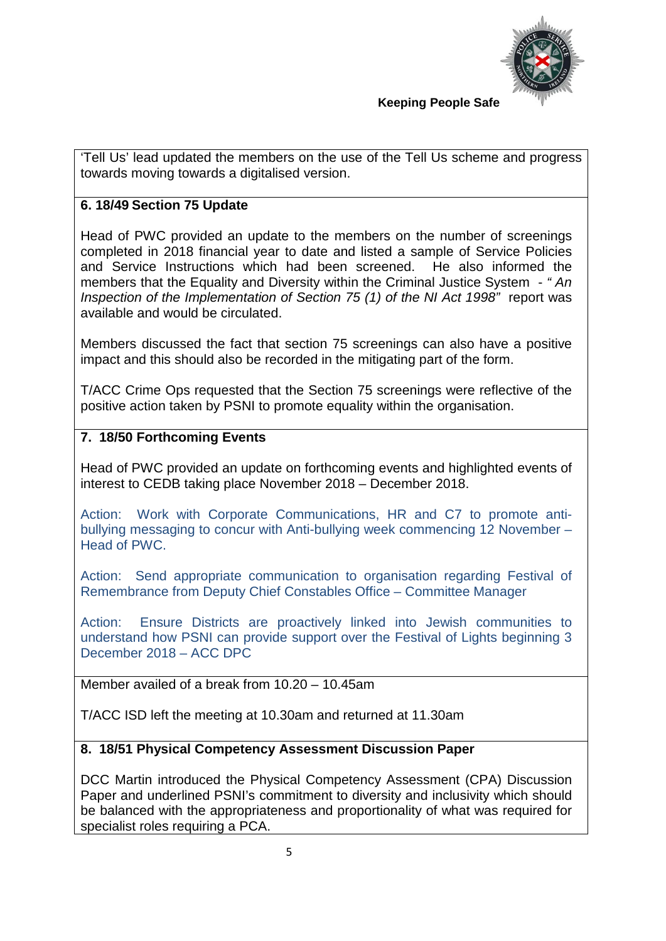

'Tell Us' lead updated the members on the use of the Tell Us scheme and progress towards moving towards a digitalised version.

# **6. 18/49 Section 75 Update**

Head of PWC provided an update to the members on the number of screenings completed in 2018 financial year to date and listed a sample of Service Policies and Service Instructions which had been screened. He also informed the members that the Equality and Diversity within the Criminal Justice System - *" An Inspection of the Implementation of Section 75 (1) of the NI Act 1998"* report was available and would be circulated.

Members discussed the fact that section 75 screenings can also have a positive impact and this should also be recorded in the mitigating part of the form.

T/ACC Crime Ops requested that the Section 75 screenings were reflective of the positive action taken by PSNI to promote equality within the organisation.

## **7. 18/50 Forthcoming Events**

Head of PWC provided an update on forthcoming events and highlighted events of interest to CEDB taking place November 2018 – December 2018.

Action: Work with Corporate Communications, HR and C7 to promote antibullying messaging to concur with Anti-bullying week commencing 12 November – Head of PWC.

Action: Send appropriate communication to organisation regarding Festival of Remembrance from Deputy Chief Constables Office – Committee Manager

Action: Ensure Districts are proactively linked into Jewish communities to understand how PSNI can provide support over the Festival of Lights beginning 3 December 2018 – ACC DPC

Member availed of a break from 10.20 – 10.45am

T/ACC ISD left the meeting at 10.30am and returned at 11.30am

#### **8. 18/51 Physical Competency Assessment Discussion Paper**

DCC Martin introduced the Physical Competency Assessment (CPA) Discussion Paper and underlined PSNI's commitment to diversity and inclusivity which should be balanced with the appropriateness and proportionality of what was required for specialist roles requiring a PCA.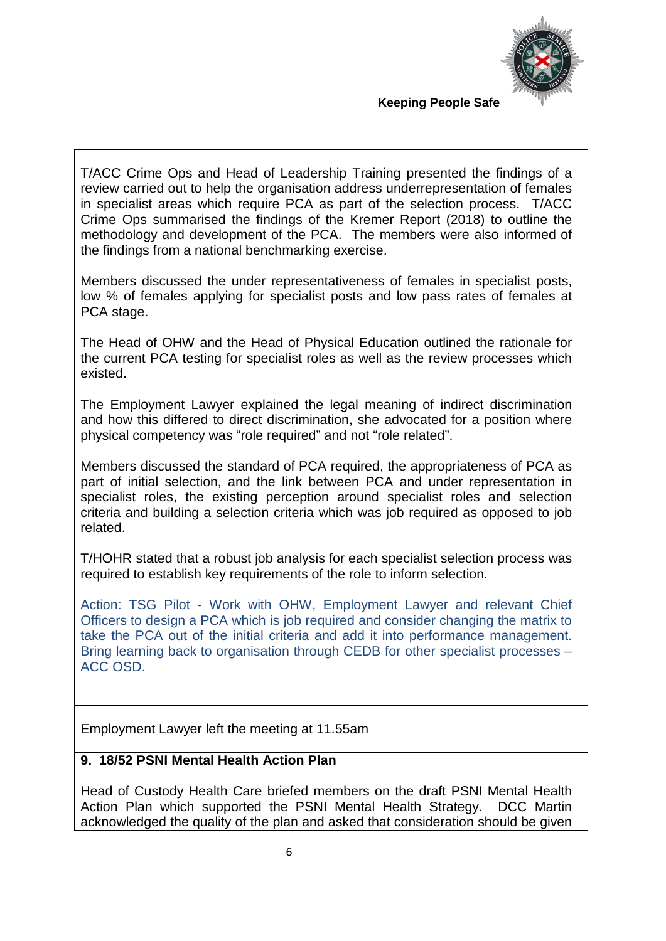

T/ACC Crime Ops and Head of Leadership Training presented the findings of a review carried out to help the organisation address underrepresentation of females in specialist areas which require PCA as part of the selection process. T/ACC Crime Ops summarised the findings of the Kremer Report (2018) to outline the methodology and development of the PCA. The members were also informed of the findings from a national benchmarking exercise.

Members discussed the under representativeness of females in specialist posts, low % of females applying for specialist posts and low pass rates of females at PCA stage.

The Head of OHW and the Head of Physical Education outlined the rationale for the current PCA testing for specialist roles as well as the review processes which existed.

The Employment Lawyer explained the legal meaning of indirect discrimination and how this differed to direct discrimination, she advocated for a position where physical competency was "role required" and not "role related".

Members discussed the standard of PCA required, the appropriateness of PCA as part of initial selection, and the link between PCA and under representation in specialist roles, the existing perception around specialist roles and selection criteria and building a selection criteria which was job required as opposed to job related.

T/HOHR stated that a robust job analysis for each specialist selection process was required to establish key requirements of the role to inform selection.

Action: TSG Pilot - Work with OHW, Employment Lawyer and relevant Chief Officers to design a PCA which is job required and consider changing the matrix to take the PCA out of the initial criteria and add it into performance management. Bring learning back to organisation through CEDB for other specialist processes – ACC OSD.

Employment Lawyer left the meeting at 11.55am

#### **9. 18/52 PSNI Mental Health Action Plan**

Head of Custody Health Care briefed members on the draft PSNI Mental Health Action Plan which supported the PSNI Mental Health Strategy. DCC Martin acknowledged the quality of the plan and asked that consideration should be given